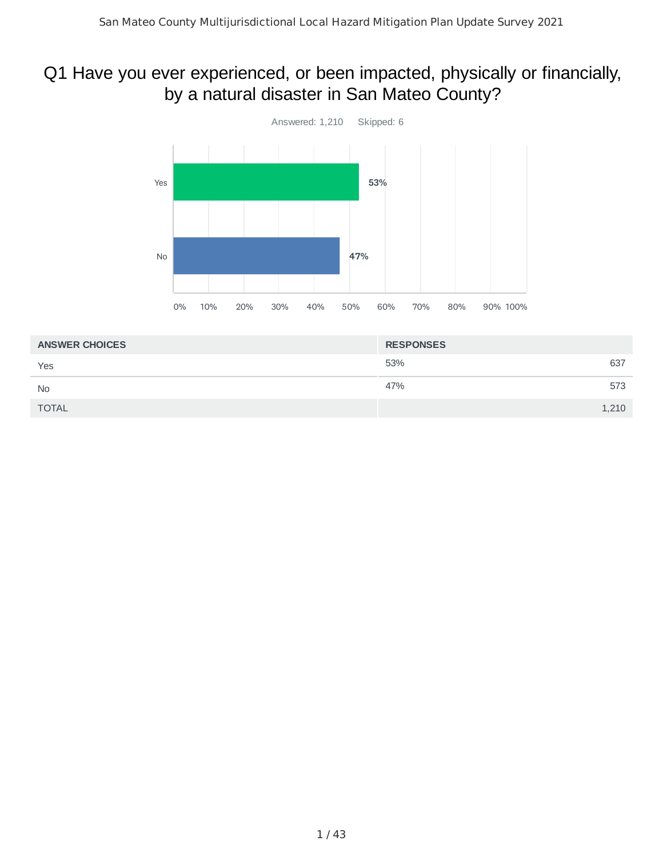## Q1 Have you ever experienced, or been impacted, physically or financially, by a natural disaster in San Mateo County?



| <b>ANSWER CHOICES</b> | <b>RESPONSES</b> |       |
|-----------------------|------------------|-------|
| Yes                   | 53%              | 637   |
| <b>No</b>             | 47%              | 573   |
| <b>TOTAL</b>          |                  | 1,210 |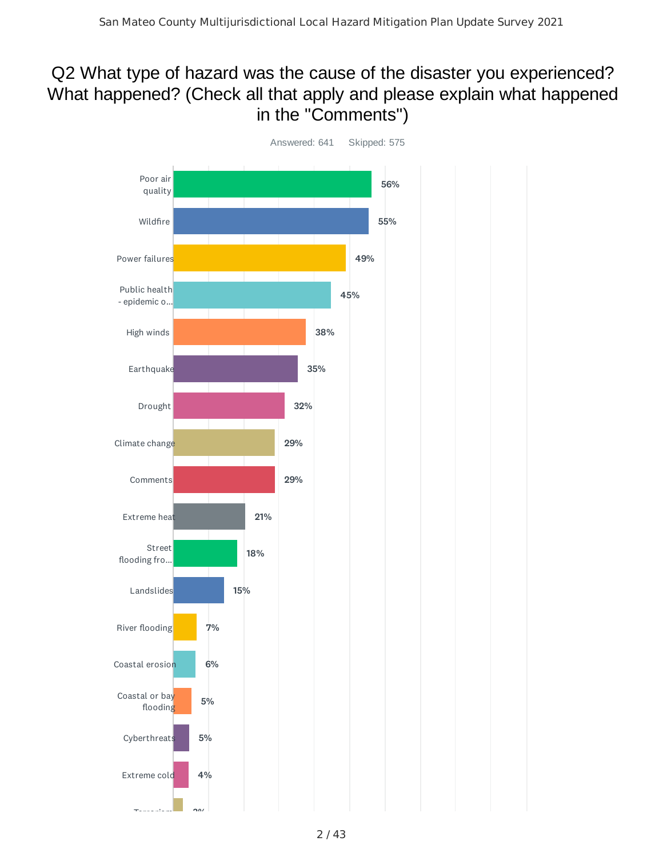## Q2 What type of hazard was the cause of the disaster you experienced? What happened? (Check all that apply and please explain what happened in the "Comments")

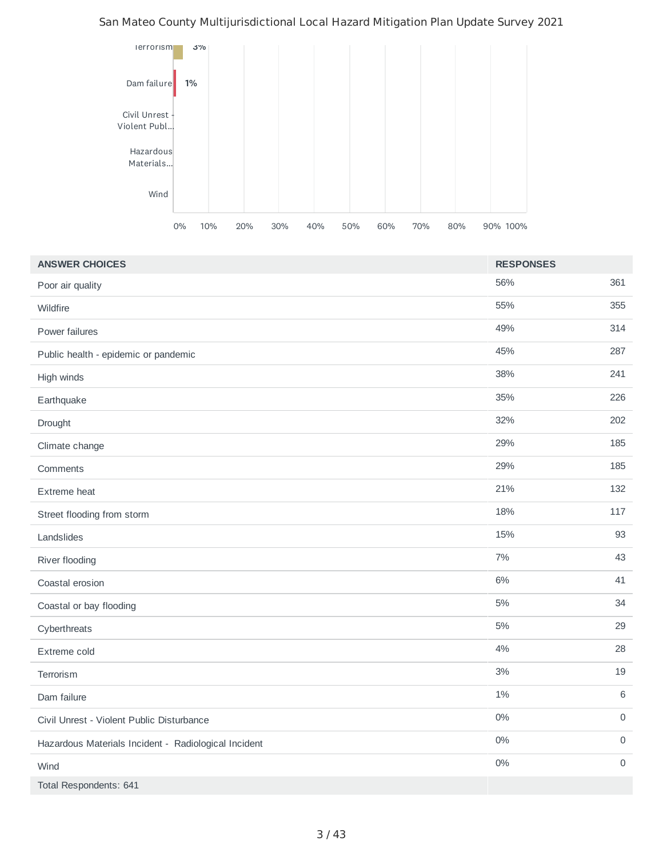

| <b>ANSWER CHOICES</b>                                | <b>RESPONSES</b> |                     |
|------------------------------------------------------|------------------|---------------------|
| Poor air quality                                     | 56%              | 361                 |
| Wildfire                                             | 55%              | 355                 |
| Power failures                                       | 49%              | 314                 |
| Public health - epidemic or pandemic                 | 45%              | 287                 |
| High winds                                           | 38%              | 241                 |
| Earthquake                                           | 35%              | 226                 |
| Drought                                              | 32%              | 202                 |
| Climate change                                       | 29%              | 185                 |
| Comments                                             | 29%              | 185                 |
| Extreme heat                                         | 21%              | 132                 |
| Street flooding from storm                           | 18%              | 117                 |
| Landslides                                           | 15%              | 93                  |
| River flooding                                       | 7%               | 43                  |
| Coastal erosion                                      | $6\%$            | 41                  |
| Coastal or bay flooding                              | $5\%$            | 34                  |
| Cyberthreats                                         | $5\%$            | 29                  |
| Extreme cold                                         | 4%               | 28                  |
| Terrorism                                            | $3\%$            | 19                  |
| Dam failure                                          | $1\%$            | 6                   |
| Civil Unrest - Violent Public Disturbance            | $0\%$            | $\mathsf{O}\xspace$ |
| Hazardous Materials Incident - Radiological Incident | $0\%$            | 0                   |
| Wind                                                 | $0\%$            | 0                   |
| Total Respondents: 641                               |                  |                     |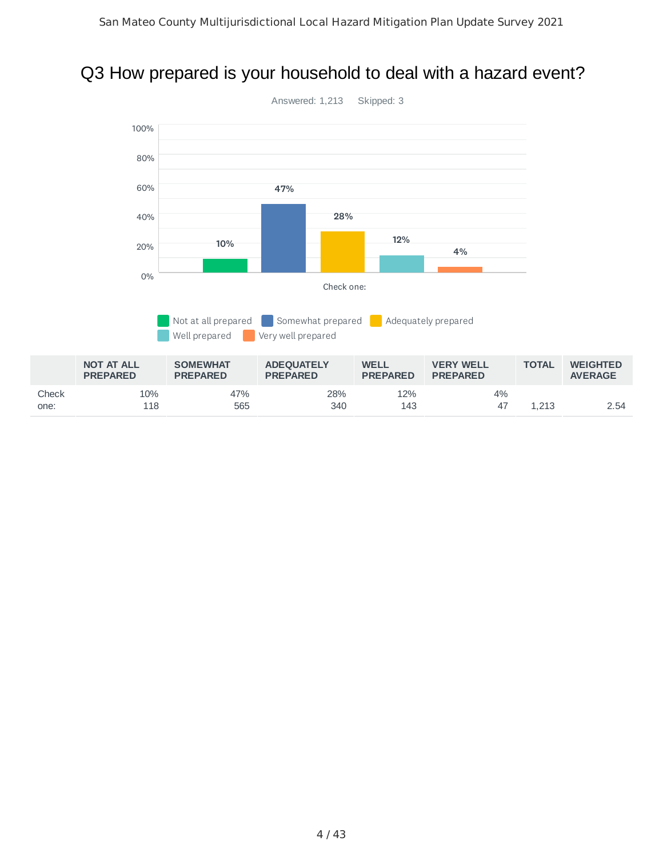## Q3 How prepared is your household to deal with a hazard event?

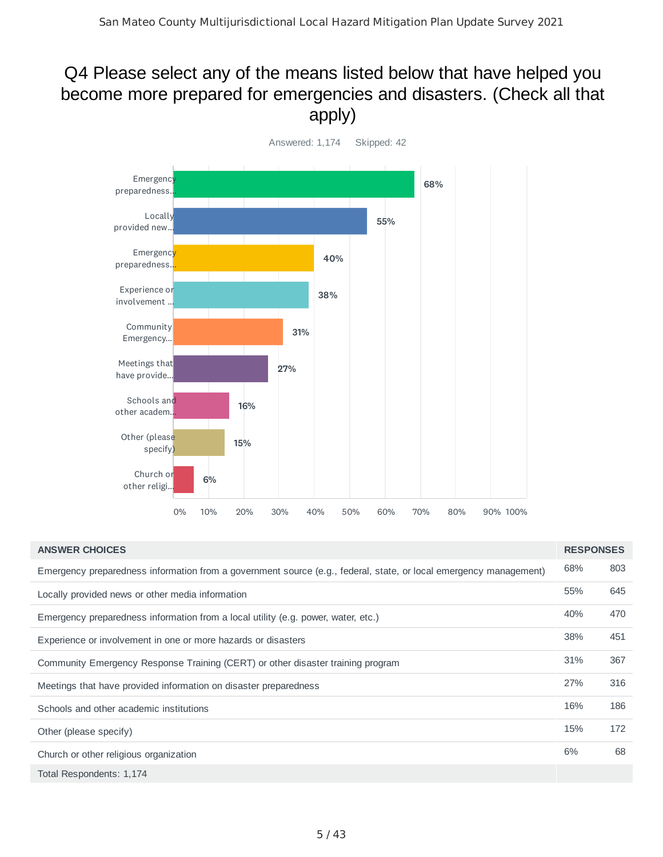## Q4 Please select any of the means listed below that have helped you become more prepared for emergencies and disasters. (Check all that apply)



| <b>ANSWER CHOICES</b>                                                                                             | <b>RESPONSES</b> |     |
|-------------------------------------------------------------------------------------------------------------------|------------------|-----|
| Emergency preparedness information from a government source (e.g., federal, state, or local emergency management) | 68%              | 803 |
| Locally provided news or other media information                                                                  | 55%              | 645 |
| Emergency preparedness information from a local utility (e.g. power, water, etc.)                                 | 40%              | 470 |
| Experience or involvement in one or more hazards or disasters                                                     | 38%              | 451 |
| Community Emergency Response Training (CERT) or other disaster training program                                   | 31%              | 367 |
| Meetings that have provided information on disaster preparedness                                                  | 27%              | 316 |
| Schools and other academic institutions                                                                           | 16%              | 186 |
| Other (please specify)                                                                                            | 15%              | 172 |
| Church or other religious organization                                                                            | 6%               | 68  |
| Total Respondents: 1,174                                                                                          |                  |     |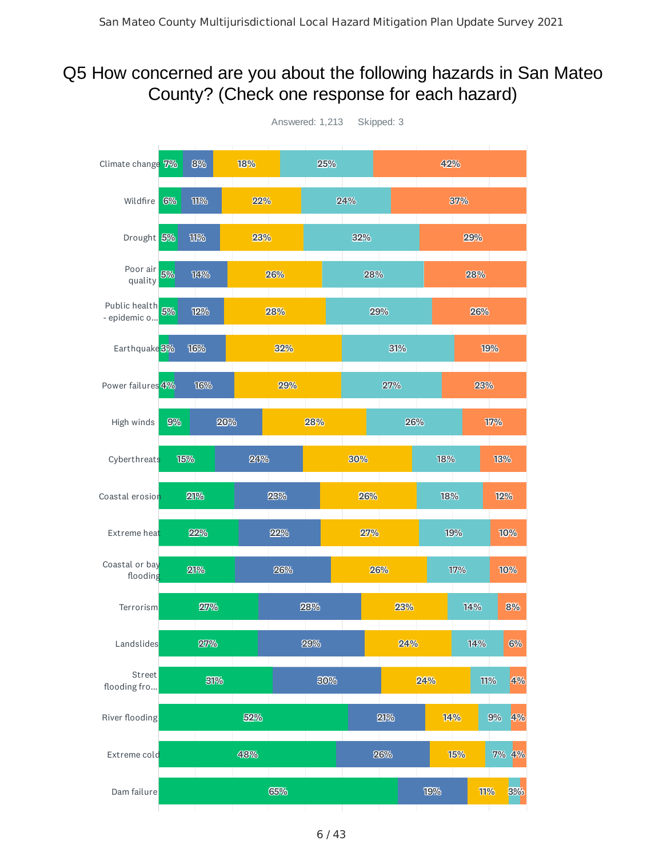#### Q5 How concerned are you about the following hazards in San Mateo County? (Check one response for each hazard)

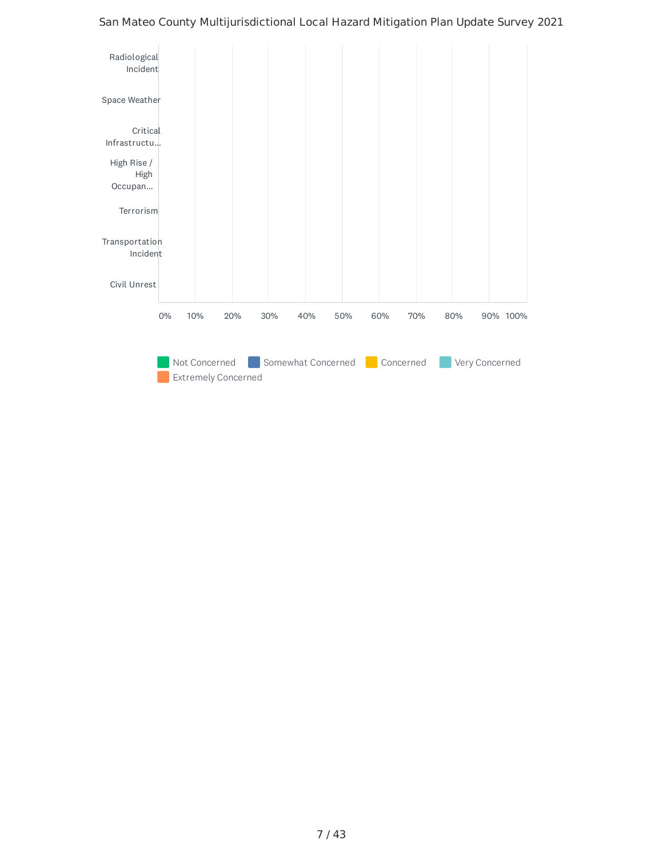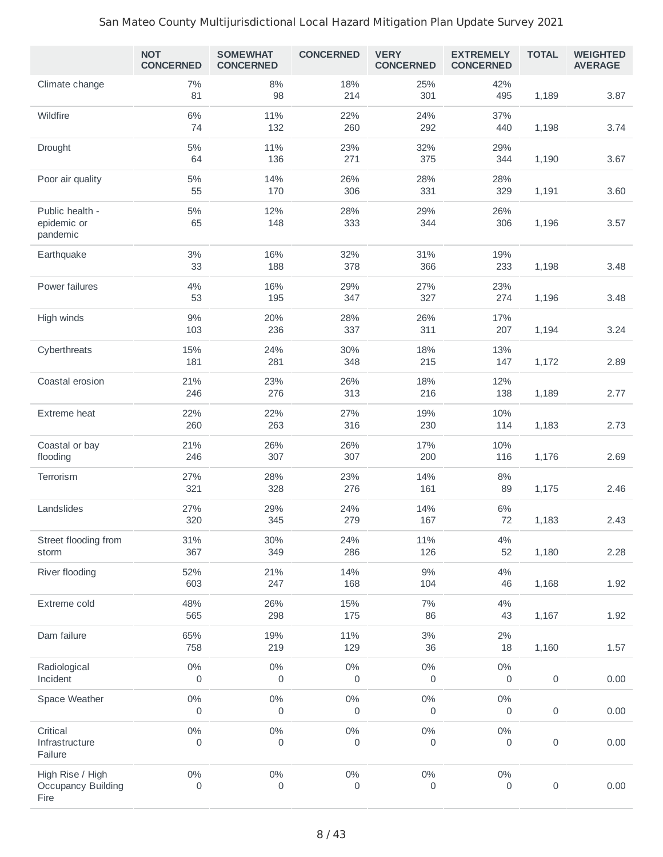|                                                       | <b>NOT</b><br><b>CONCERNED</b> | <b>SOMEWHAT</b><br><b>CONCERNED</b> | <b>CONCERNED</b> | <b>VERY</b><br><b>CONCERNED</b> | <b>EXTREMELY</b><br><b>CONCERNED</b> | <b>TOTAL</b>        | <b>WEIGHTED</b><br><b>AVERAGE</b> |
|-------------------------------------------------------|--------------------------------|-------------------------------------|------------------|---------------------------------|--------------------------------------|---------------------|-----------------------------------|
| Climate change                                        | 7%<br>81                       | $8\%$<br>98                         | 18%<br>214       | 25%<br>301                      | 42%<br>495                           | 1,189               | 3.87                              |
| Wildfire                                              | 6%<br>74                       | 11%<br>132                          | 22%<br>260       | 24%<br>292                      | 37%<br>440                           | 1,198               | 3.74                              |
| Drought                                               | $5\%$<br>64                    | 11%<br>136                          | 23%<br>271       | 32%<br>375                      | 29%<br>344                           | 1,190               | 3.67                              |
| Poor air quality                                      | $5\%$<br>55                    | 14%<br>170                          | 26%<br>306       | 28%<br>331                      | 28%<br>329                           | 1,191               | 3.60                              |
| Public health -<br>epidemic or<br>pandemic            | $5\%$<br>65                    | 12%<br>148                          | 28%<br>333       | 29%<br>344                      | 26%<br>306                           | 1,196               | 3.57                              |
| Earthquake                                            | $3\%$<br>33                    | 16%<br>188                          | 32%<br>378       | 31%<br>366                      | 19%<br>233                           | 1,198               | 3.48                              |
| Power failures                                        | 4%<br>53                       | 16%<br>195                          | 29%<br>347       | 27%<br>327                      | 23%<br>274                           | 1,196               | 3.48                              |
| High winds                                            | $9\%$<br>103                   | 20%<br>236                          | 28%<br>337       | 26%<br>311                      | 17%<br>207                           | 1,194               | 3.24                              |
| Cyberthreats                                          | 15%<br>181                     | 24%<br>281                          | 30%<br>348       | 18%<br>215                      | 13%<br>147                           | 1,172               | 2.89                              |
| Coastal erosion                                       | 21%<br>246                     | 23%<br>276                          | 26%<br>313       | 18%<br>216                      | 12%<br>138                           | 1,189               | 2.77                              |
| Extreme heat                                          | 22%<br>260                     | 22%<br>263                          | 27%<br>316       | 19%<br>230                      | 10%<br>114                           | 1,183               | 2.73                              |
| Coastal or bay<br>flooding                            | 21%<br>246                     | 26%<br>307                          | 26%<br>307       | 17%<br>200                      | 10%<br>116                           | 1,176               | 2.69                              |
| Terrorism                                             | 27%<br>321                     | 28%<br>328                          | 23%<br>276       | 14%<br>161                      | 8%<br>89                             | 1,175               | 2.46                              |
| Landslides                                            | 27%<br>320                     | 29%<br>345                          | 24%<br>279       | 14%<br>167                      | $6\%$<br>72                          | 1,183               | 2.43                              |
| Street flooding from<br>storm                         | 31%<br>367                     | 30%<br>349                          | 24%<br>286       | 11%<br>126                      | 4%<br>52                             | 1,180               | 2.28                              |
| River flooding                                        | 52%<br>603                     | 21%<br>247                          | 14%<br>168       | 9%<br>104                       | 4%<br>46                             | 1,168               | 1.92                              |
| Extreme cold                                          | 48%<br>565                     | 26%<br>298                          | 15%<br>175       | 7%<br>86                        | 4%<br>43                             | 1,167               | 1.92                              |
| Dam failure                                           | 65%<br>758                     | 19%<br>219                          | 11%<br>129       | 3%<br>36                        | 2%<br>18                             | 1,160               | 1.57                              |
| Radiological<br>Incident                              | $0\%$<br>0                     | $0\%$<br>0                          | $0\%$<br>0       | $0\%$<br>0                      | 0%<br>0                              | $\mathsf{O}\xspace$ | 0.00                              |
| Space Weather                                         | $0\%$<br>0                     | $0\%$<br>0                          | $0\%$<br>0       | $0\%$<br>0                      | 0%<br>0                              | 0                   | 0.00                              |
| Critical<br>Infrastructure<br>Failure                 | $0\%$<br>0                     | $0\%$<br>0                          | $0\%$<br>0       | $0\%$<br>0                      | $0\%$<br>0                           | $\mathsf{O}\xspace$ | 0.00                              |
| High Rise / High<br><b>Occupancy Building</b><br>Fire | $0\%$<br>0                     | $0\%$<br>0                          | $0\%$<br>0       | $0\%$<br>0                      | $0\%$<br>0                           | 0                   | 0.00                              |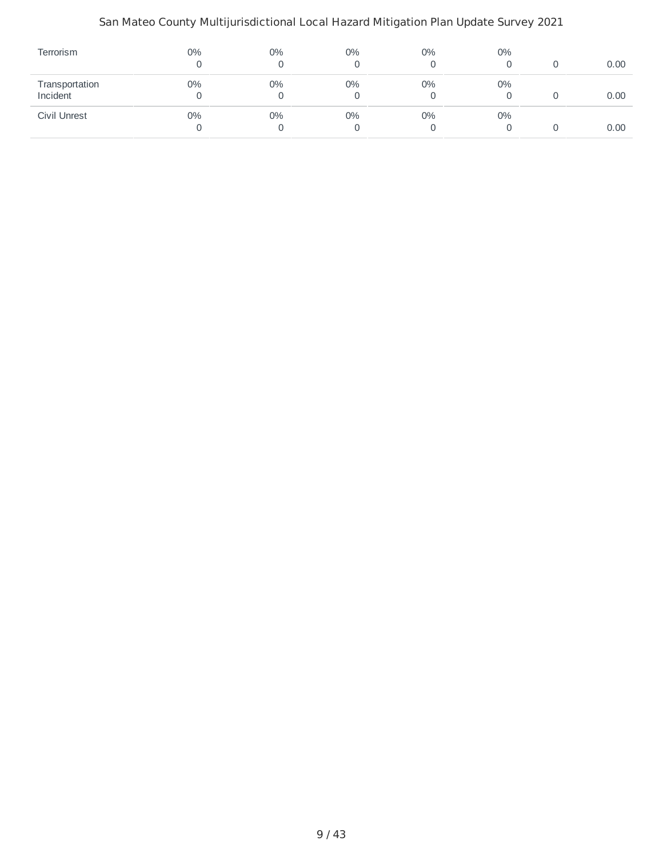| Terrorism                  | $0\%$ | $0\%$ | 0%      | $0\%$ | $0\%$ | 0.00 |
|----------------------------|-------|-------|---------|-------|-------|------|
| Transportation<br>Incident | 0%    | 0%    | 0%      | $0\%$ | $0\%$ | 0.00 |
| Civil Unrest               | 0%    | $0\%$ | 0%<br>0 | 0%    | $0\%$ | 0.00 |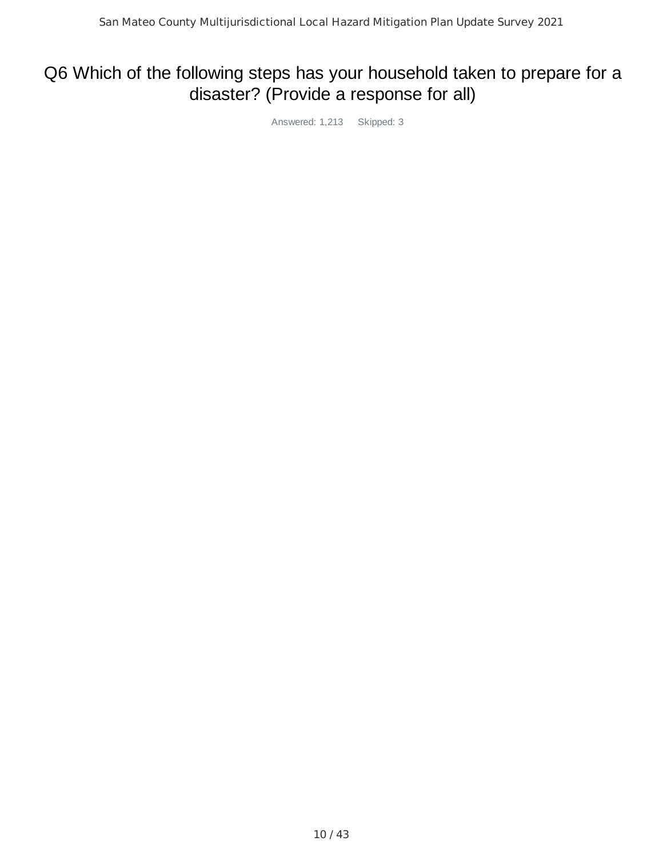## Q6 Which of the following steps has your household taken to prepare for a disaster? (Provide a response for all)

Answered: 1,213 Skipped: 3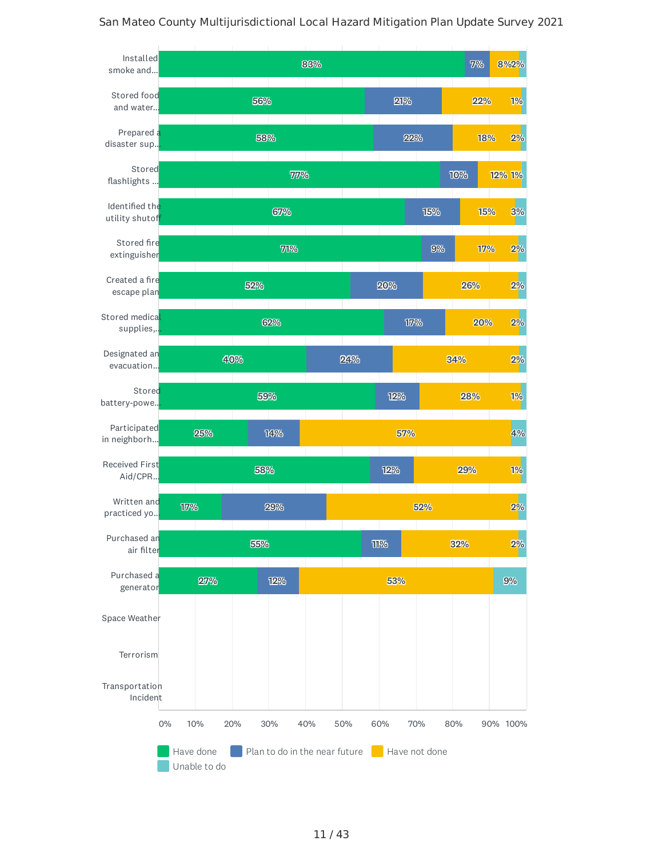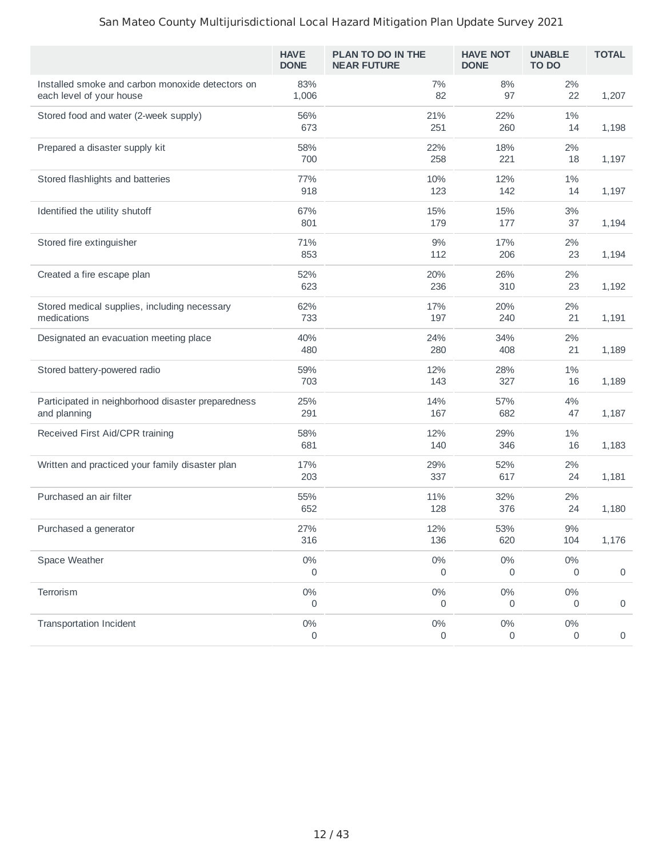|                                                                              | <b>HAVE</b><br><b>DONE</b> | PLAN TO DO IN THE<br><b>NEAR FUTURE</b> | <b>HAVE NOT</b><br><b>DONE</b> | <b>UNABLE</b><br><b>TO DO</b> | <b>TOTAL</b>        |
|------------------------------------------------------------------------------|----------------------------|-----------------------------------------|--------------------------------|-------------------------------|---------------------|
| Installed smoke and carbon monoxide detectors on<br>each level of your house | 83%<br>1,006               | 7%<br>82                                | 8%<br>97                       | 2%<br>22                      | 1,207               |
| Stored food and water (2-week supply)                                        | 56%<br>673                 | 21%<br>251                              | 22%<br>260                     | 1%<br>14                      | 1,198               |
| Prepared a disaster supply kit                                               | 58%<br>700                 | 22%<br>258                              | 18%<br>221                     | 2%<br>18                      | 1,197               |
| Stored flashlights and batteries                                             | 77%<br>918                 | 10%<br>123                              | 12%<br>142                     | 1%<br>14                      | 1,197               |
| Identified the utility shutoff                                               | 67%                        | 15%                                     | 15%                            | 3%                            |                     |
| Stored fire extinguisher                                                     | 801<br>71%                 | 179<br>9%                               | 177<br>17%                     | 37<br>2%                      | 1,194               |
| Created a fire escape plan                                                   | 853<br>52%                 | 112<br>20%                              | 206<br>26%                     | 23<br>2%                      | 1,194               |
|                                                                              | 623                        | 236                                     | 310                            | 23                            | 1,192               |
| Stored medical supplies, including necessary<br>medications                  | 62%<br>733                 | 17%<br>197                              | 20%<br>240                     | 2%<br>21                      | 1,191               |
| Designated an evacuation meeting place                                       | 40%<br>480                 | 24%<br>280                              | 34%<br>408                     | 2%<br>21                      | 1,189               |
| Stored battery-powered radio                                                 | 59%<br>703                 | 12%<br>143                              | 28%<br>327                     | 1%<br>16                      | 1,189               |
| Participated in neighborhood disaster preparedness<br>and planning           | 25%<br>291                 | 14%<br>167                              | 57%<br>682                     | 4%<br>47                      | 1,187               |
| Received First Aid/CPR training                                              | 58%<br>681                 | 12%<br>140                              | 29%<br>346                     | 1%<br>16                      | 1,183               |
| Written and practiced your family disaster plan                              | 17%<br>203                 | 29%<br>337                              | 52%<br>617                     | 2%<br>24                      | 1,181               |
| Purchased an air filter                                                      | 55%<br>652                 | 11%<br>128                              | 32%<br>376                     | 2%<br>24                      | 1,180               |
| Purchased a generator                                                        | 27%<br>316                 | 12%<br>136                              | 53%<br>620                     | $9\%$<br>104                  | 1,176               |
| Space Weather                                                                | $0\%$<br>0                 | $0\%$<br>0                              | $0\%$<br>0                     | $0\%$<br>0                    | $\mathsf{O}\xspace$ |
| Terrorism                                                                    | $0\%$<br>0                 | $0\%$<br>0                              | $0\%$<br>0                     | $0\%$<br>0                    | $\mathsf{O}\xspace$ |
| <b>Transportation Incident</b>                                               | $0\%$<br>0                 | $0\%$<br>0                              | $0\%$<br>0                     | $0\%$<br>$\mathsf{O}\xspace$  | $\mathsf{O}\xspace$ |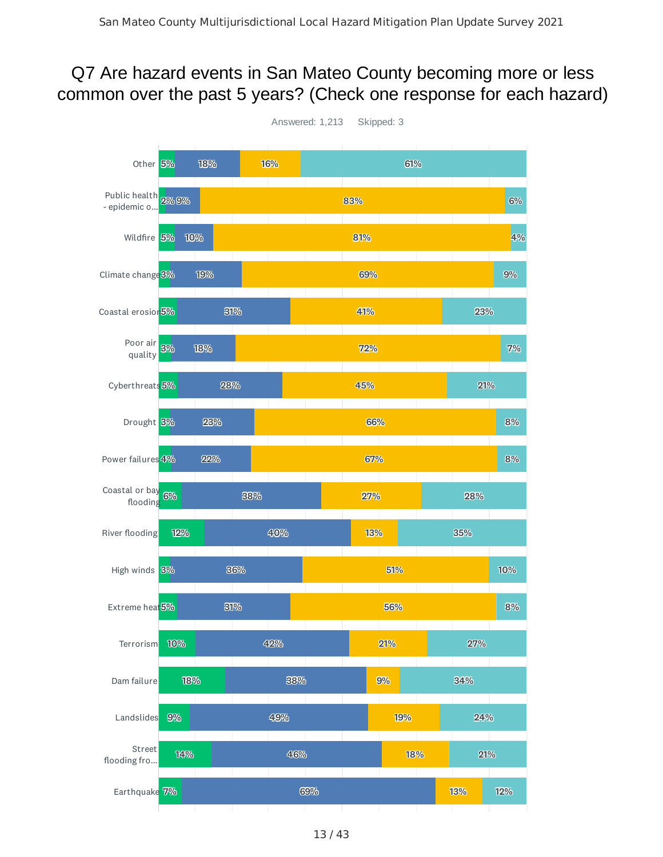#### Q7 Are hazard events in San Mateo County becoming more or less common over the past 5 years? (Check one response for each hazard)

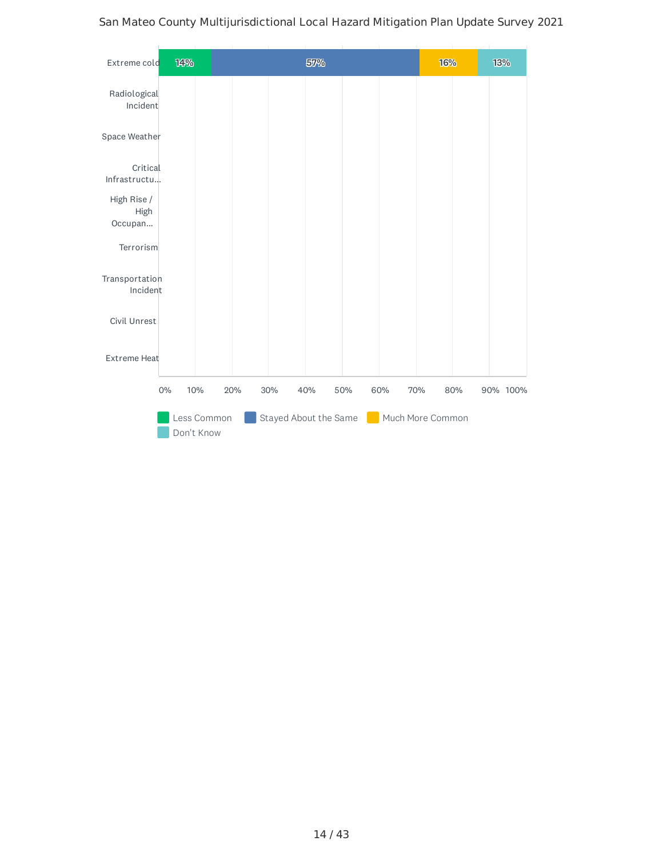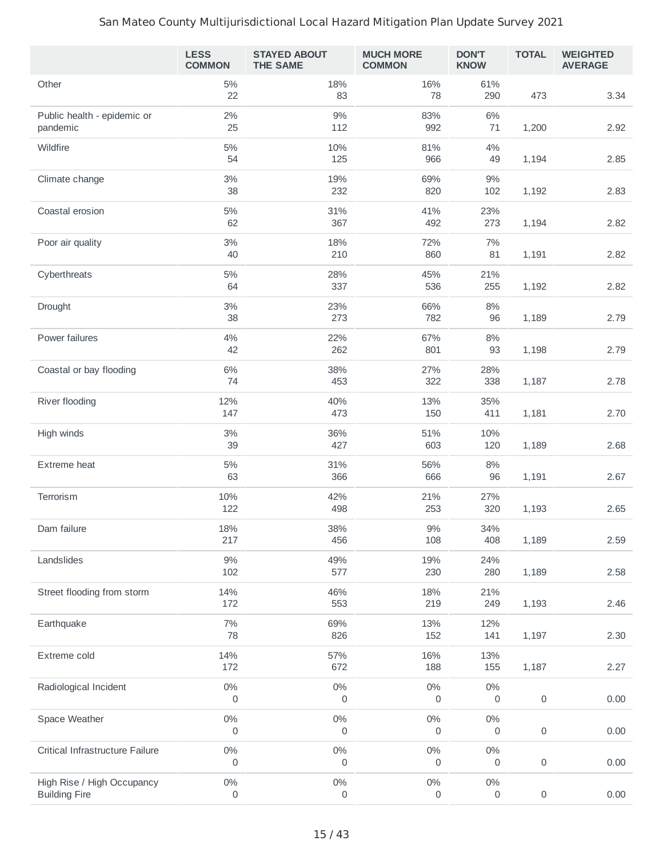|                                                    | <b>LESS</b><br><b>COMMON</b> | <b>STAYED ABOUT</b><br><b>THE SAME</b> | <b>MUCH MORE</b><br><b>COMMON</b> | <b>DON'T</b><br><b>KNOW</b> | <b>TOTAL</b>        | <b>WEIGHTED</b><br><b>AVERAGE</b> |
|----------------------------------------------------|------------------------------|----------------------------------------|-----------------------------------|-----------------------------|---------------------|-----------------------------------|
| Other                                              | $5\%$<br>22                  | 18%<br>83                              | 16%<br>78                         | 61%<br>290                  | 473                 | 3.34                              |
| Public health - epidemic or<br>pandemic            | 2%<br>25                     | 9%<br>112                              | 83%<br>992                        | 6%<br>71                    | 1,200               | 2.92                              |
| Wildfire                                           | $5\%$<br>54                  | 10%<br>125                             | 81%<br>966                        | 4%<br>49                    | 1,194               | 2.85                              |
| Climate change                                     | $3\%$<br>38                  | 19%<br>232                             | 69%<br>820                        | 9%<br>102                   | 1,192               | 2.83                              |
| Coastal erosion                                    | $5\%$<br>62                  | 31%<br>367                             | 41%<br>492                        | 23%<br>273                  | 1,194               | 2.82                              |
| Poor air quality                                   | $3\%$<br>40                  | 18%<br>210                             | 72%<br>860                        | 7%<br>81                    | 1,191               | 2.82                              |
| Cyberthreats                                       | $5\%$<br>64                  | 28%<br>337                             | 45%<br>536                        | 21%<br>255                  | 1,192               | 2.82                              |
| Drought                                            | $3\%$<br>38                  | 23%<br>273                             | 66%<br>782                        | 8%<br>96                    | 1,189               | 2.79                              |
| Power failures                                     | 4%<br>42                     | 22%<br>262                             | 67%<br>801                        | $8\%$<br>93                 | 1,198               | 2.79                              |
| Coastal or bay flooding                            | $6\%$<br>74                  | 38%<br>453                             | 27%<br>322                        | 28%<br>338                  | 1,187               | 2.78                              |
| River flooding                                     | 12%<br>147                   | 40%<br>473                             | 13%<br>150                        | 35%<br>411                  | 1,181               | 2.70                              |
| High winds                                         | $3\%$<br>39                  | 36%<br>427                             | 51%<br>603                        | 10%<br>120                  | 1,189               | 2.68                              |
| Extreme heat                                       | $5\%$<br>63                  | 31%<br>366                             | 56%<br>666                        | $8\%$<br>96                 | 1,191               | 2.67                              |
| Terrorism                                          | 10%<br>122                   | 42%<br>498                             | 21%<br>253                        | 27%<br>320                  | 1,193               | 2.65                              |
| Dam failure                                        | 18%<br>217                   | 38%<br>456                             | $9\%$<br>108                      | 34%<br>408                  | 1,189               | 2.59                              |
| Landslides                                         | $9\%$<br>102                 | 49%<br>577                             | 19%<br>230                        | 24%<br>280                  | 1,189               | 2.58                              |
| Street flooding from storm                         | 14%<br>172                   | 46%<br>553                             | 18%<br>219                        | 21%<br>249                  | 1,193               | 2.46                              |
| Earthquake                                         | $7\%$<br>78                  | 69%<br>826                             | 13%<br>152                        | 12%<br>141                  | 1,197               | 2.30                              |
| Extreme cold                                       | 14%<br>172                   | 57%<br>672                             | 16%<br>188                        | 13%<br>155                  | 1,187               | 2.27                              |
| Radiological Incident                              | $0\%$<br>0                   | $0\%$<br>0                             | $0\%$<br>0                        | $0\%$<br>0                  | $\mathsf{O}\xspace$ | 0.00                              |
| Space Weather                                      | $0\%$<br>0                   | $0\%$<br>0                             | $0\%$<br>0                        | $0\%$<br>0                  | $\mathsf{O}\xspace$ | 0.00                              |
| Critical Infrastructure Failure                    | $0\%$<br>0                   | $0\%$<br>0                             | $0\%$<br>0                        | $0\%$<br>0                  | 0                   | 0.00                              |
| High Rise / High Occupancy<br><b>Building Fire</b> | $0\%$<br>0                   | $0\%$<br>0                             | $0\%$<br>0                        | $0\%$<br>0                  | $\mathsf{O}\xspace$ | 0.00                              |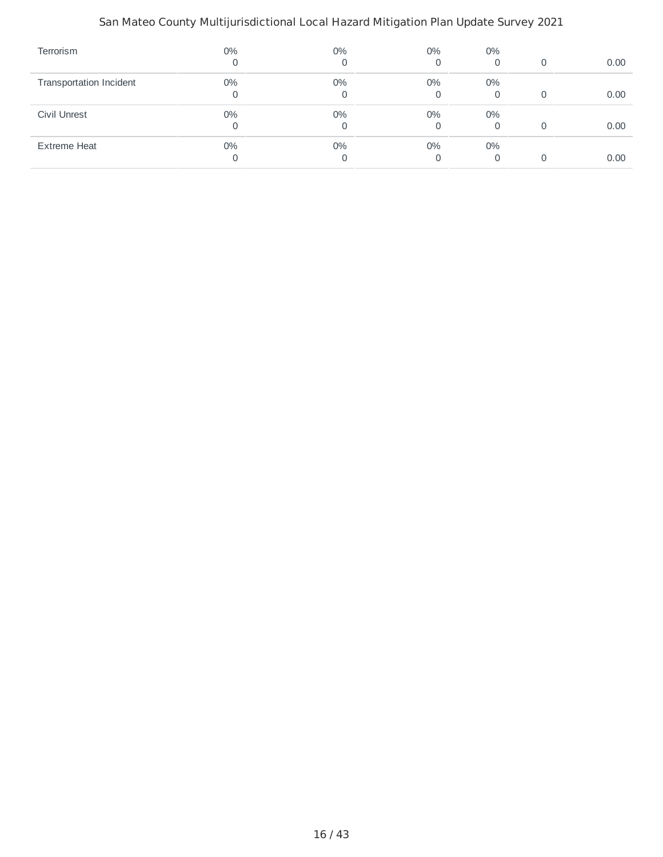| Terrorism                      | 0%    | $0\%$<br>0 | 0%<br>0 | $0\%$<br>0 | 0        | 0.00 |
|--------------------------------|-------|------------|---------|------------|----------|------|
| <b>Transportation Incident</b> | $0\%$ | $0\%$      | $0\%$   | $0\%$      |          |      |
|                                |       | $\Omega$   | 0       | 0          | $\Omega$ | 0.00 |
| Civil Unrest                   | $0\%$ | $0\%$      | $0\%$   | $0\%$      |          |      |
|                                |       | $\Omega$   | 0       | 0          | $\Omega$ | 0.00 |
| <b>Extreme Heat</b>            | $0\%$ | 0%         | 0%      | $0\%$      |          |      |
|                                |       | $\Omega$   | 0       |            |          | 0.00 |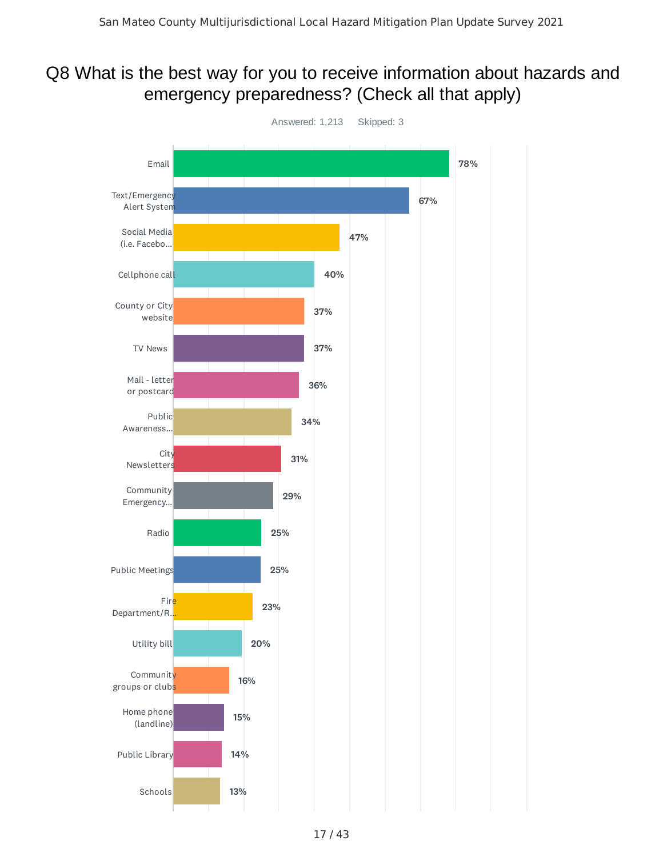#### Q8 What is the best way for you to receive information about hazards and emergency preparedness? (Check all that apply)

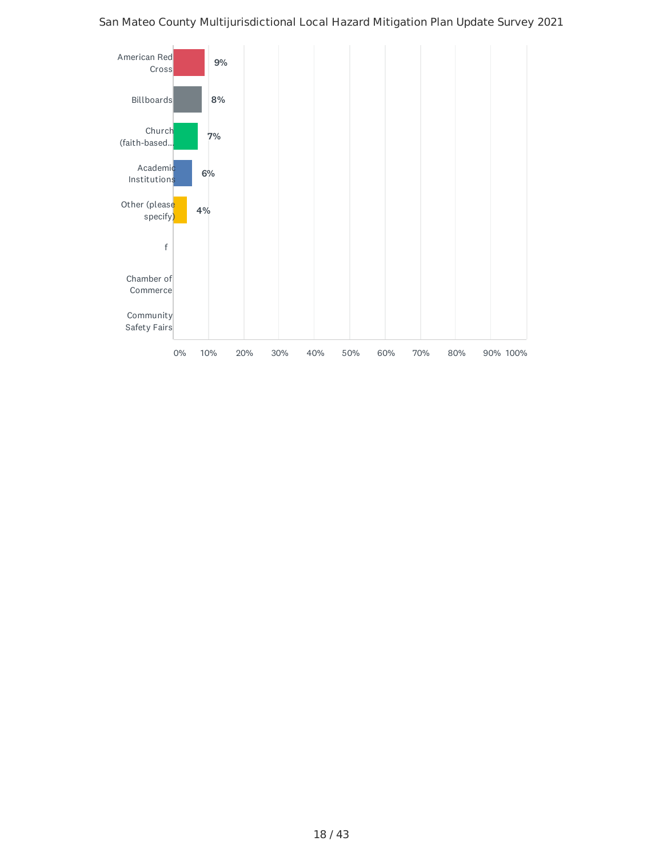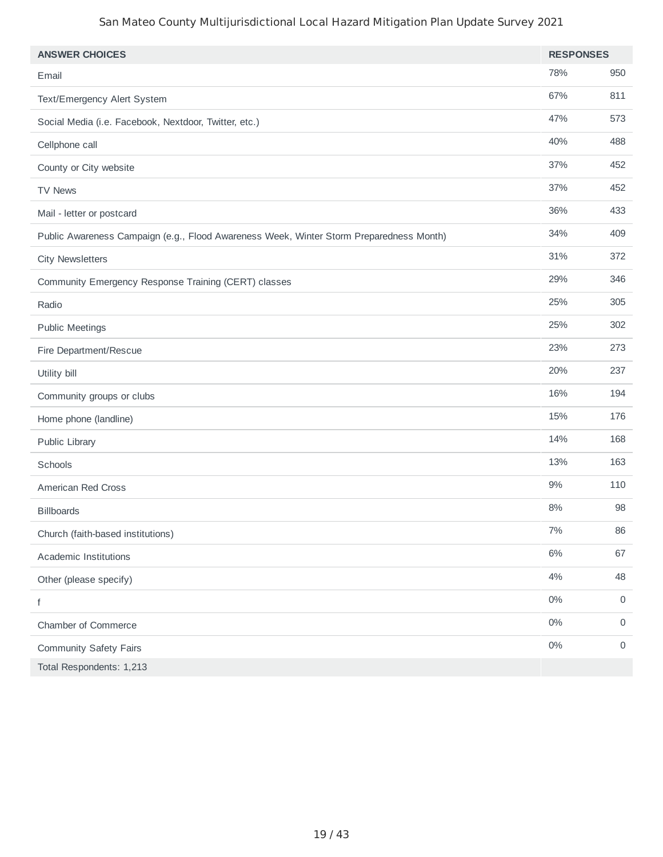| <b>ANSWER CHOICES</b>                                                                   | <b>RESPONSES</b> |     |
|-----------------------------------------------------------------------------------------|------------------|-----|
| Email                                                                                   | 78%              | 950 |
| Text/Emergency Alert System                                                             | 67%              | 811 |
| Social Media (i.e. Facebook, Nextdoor, Twitter, etc.)                                   | 47%              | 573 |
| Cellphone call                                                                          | 40%              | 488 |
| County or City website                                                                  | 37%              | 452 |
| <b>TV News</b>                                                                          | 37%              | 452 |
| Mail - letter or postcard                                                               | 36%              | 433 |
| Public Awareness Campaign (e.g., Flood Awareness Week, Winter Storm Preparedness Month) | 34%              | 409 |
| <b>City Newsletters</b>                                                                 | 31%              | 372 |
| Community Emergency Response Training (CERT) classes                                    | 29%              | 346 |
| Radio                                                                                   | 25%              | 305 |
| <b>Public Meetings</b>                                                                  | 25%              | 302 |
| Fire Department/Rescue                                                                  | 23%              | 273 |
| Utility bill                                                                            | 20%              | 237 |
| Community groups or clubs                                                               | 16%              | 194 |
| Home phone (landline)                                                                   | 15%              | 176 |
| Public Library                                                                          | 14%              | 168 |
| Schools                                                                                 | 13%              | 163 |
| American Red Cross                                                                      | 9%               | 110 |
| <b>Billboards</b>                                                                       | 8%               | 98  |
| Church (faith-based institutions)                                                       | $7\%$            | 86  |
| Academic Institutions                                                                   | $6\%$            | 67  |
| Other (please specify)                                                                  | 4%               | 48  |
| f                                                                                       | $0\%$            | 0   |
| Chamber of Commerce                                                                     | $0\%$            | 0   |
| <b>Community Safety Fairs</b>                                                           | $0\%$            | 0   |
| Total Respondents: 1,213                                                                |                  |     |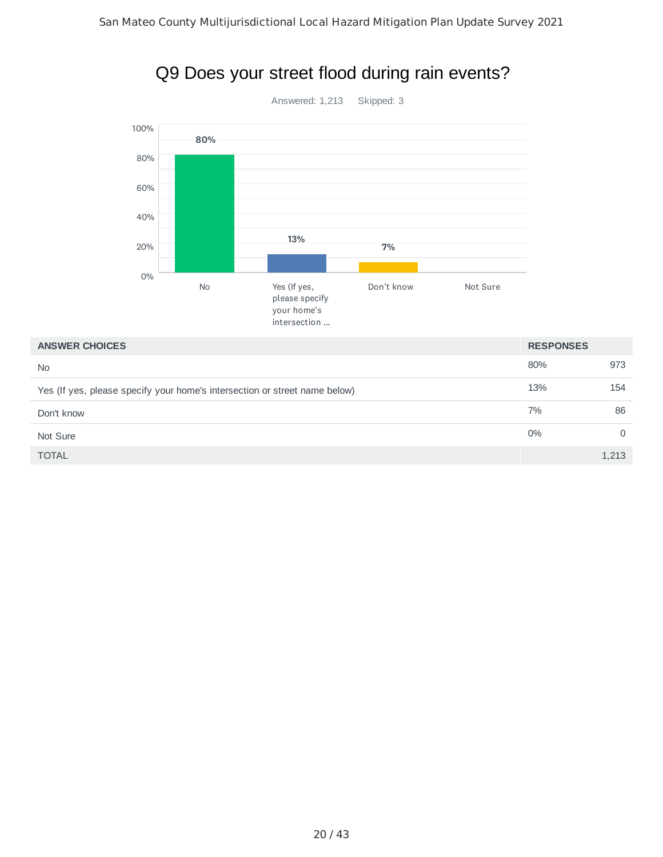

## Q9 Does your street flood during rain events?

#### **ANSWER CHOICES RESPONSES**

|                                                                            | . .__. _. .___ |       |
|----------------------------------------------------------------------------|----------------|-------|
| <b>No</b>                                                                  | 80%            | 973   |
| Yes (If yes, please specify your home's intersection or street name below) | 13%            | 154   |
| Don't know                                                                 | 7%             | 86    |
| Not Sure                                                                   | 0%             |       |
| <b>TOTAL</b>                                                               |                | 1,213 |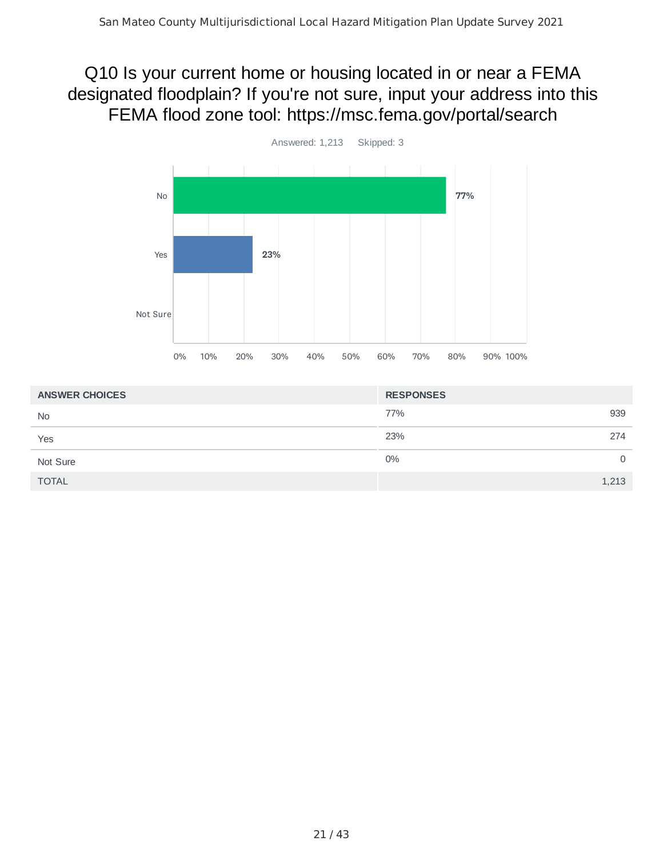## Q10 Is your current home or housing located in or near a FEMA designated floodplain? If you're not sure, input your address into this FEMA flood zone tool: https://msc.fema.gov/portal/search



| <b>ANSWER CHOICES</b> | <b>RESPONSES</b> |       |
|-----------------------|------------------|-------|
| <b>No</b>             | 77%              | 939   |
| Yes                   | 23%              | 274   |
| Not Sure              | 0%               | 0     |
| <b>TOTAL</b>          |                  | 1,213 |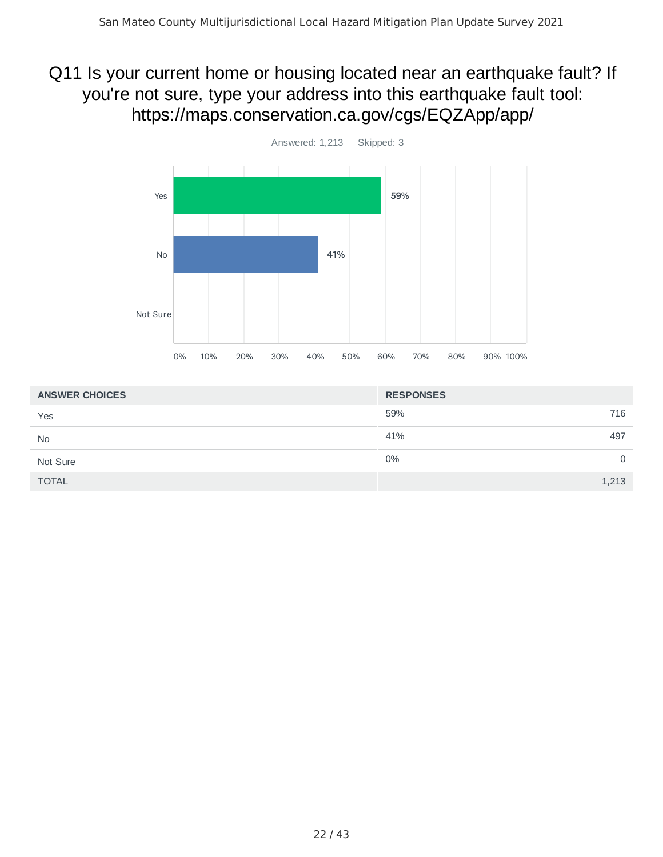## Q11 Is your current home or housing located near an earthquake fault? If you're not sure, type your address into this earthquake fault tool: https://maps.conservation.ca.gov/cgs/EQZApp/app/



| <b>ANSWER CHOICES</b> | <b>RESPONSES</b> |     |
|-----------------------|------------------|-----|
| Yes                   | 59%              | 716 |
| <b>No</b>             | 41%              | 497 |
| Not Sure              | 0%               | 0   |
| <b>TOTAL</b>          | 1,213            |     |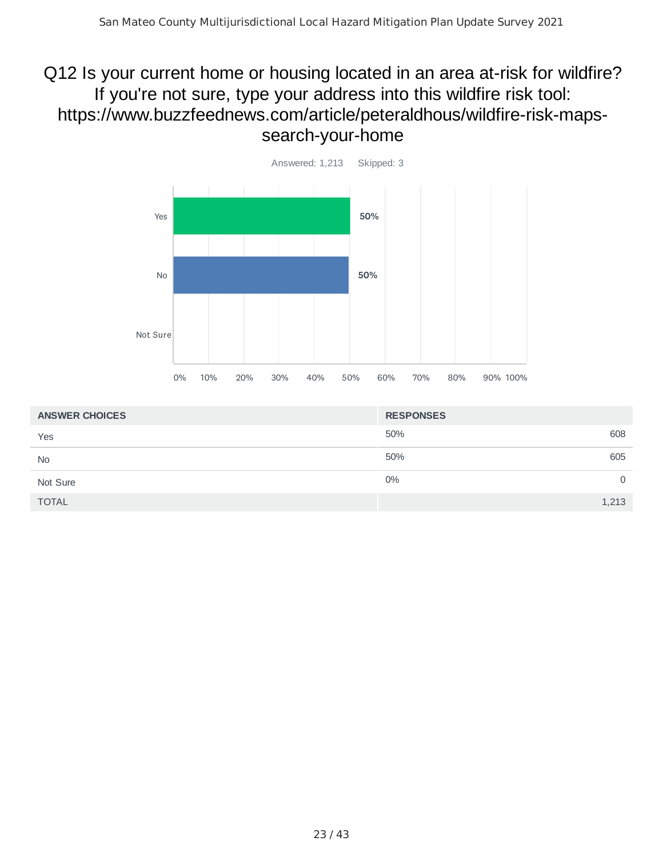## Q12 Is your current home or housing located in an area at-risk for wildfire? If you're not sure, type your address into this wildfire risk tool: https://www.buzzfeednews.com/article/peteraldhous/wildfire-risk-mapssearch-your-home



| <b>ANSWER CHOICES</b> | <b>RESPONSES</b> |     |
|-----------------------|------------------|-----|
| Yes                   | 50%              | 608 |
| <b>No</b>             | 50%              | 605 |
| Not Sure              | $0\%$            | 0   |
| <b>TOTAL</b>          | 1,213            |     |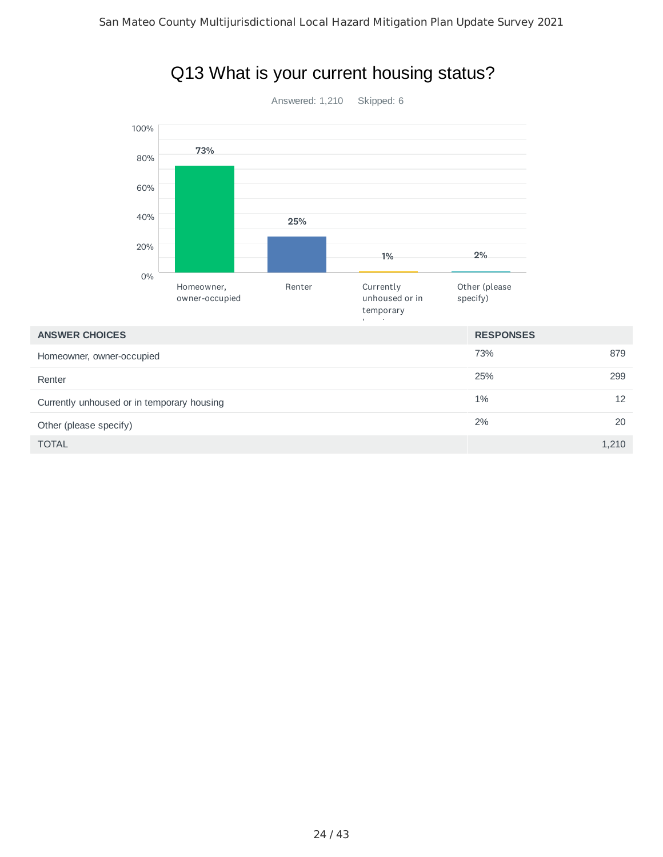

#### Q13 What is your current housing status?

 $\blacksquare$  TOTAL  $\blacksquare$  . The set of the set of the set of the set of the set of the set of the set of the set of the set of the set of the set of the set of the set of the set of the set of the set of the set of the set of t

Renter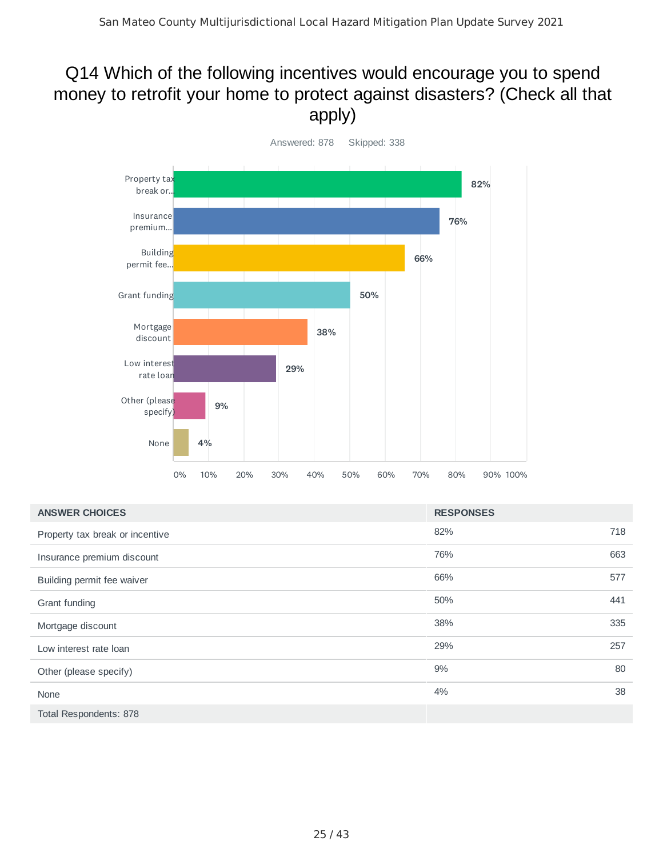#### Q14 Which of the following incentives would encourage you to spend money to retrofit your home to protect against disasters? (Check all that apply)



| <b>ANSWER CHOICES</b>           | <b>RESPONSES</b> |     |
|---------------------------------|------------------|-----|
| Property tax break or incentive | 82%              | 718 |
| Insurance premium discount      | 76%              | 663 |
| Building permit fee waiver      | 66%              | 577 |
| Grant funding                   | 50%              | 441 |
| Mortgage discount               | 38%              | 335 |
| Low interest rate loan          | 29%              | 257 |
| Other (please specify)          | 9%               | 80  |
| None                            | 4%               | 38  |
| Total Respondents: 878          |                  |     |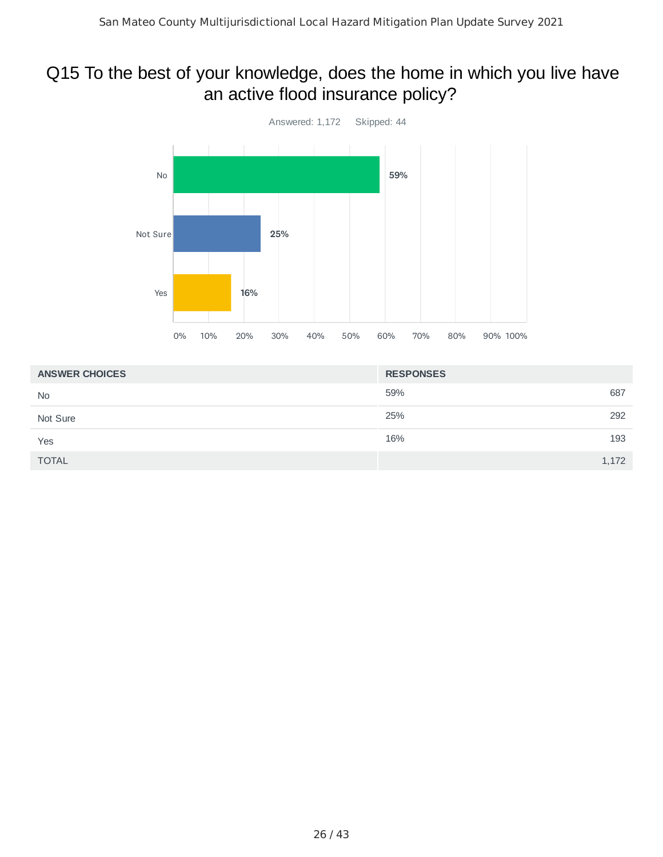## Q15 To the best of your knowledge, does the home in which you live have an active flood insurance policy?



| <b>ANSWER CHOICES</b> | <b>RESPONSES</b> |
|-----------------------|------------------|
| <b>No</b>             | 59%<br>687       |
| Not Sure              | 25%<br>292       |
| Yes                   | 16%<br>193       |
| <b>TOTAL</b>          | 1,172            |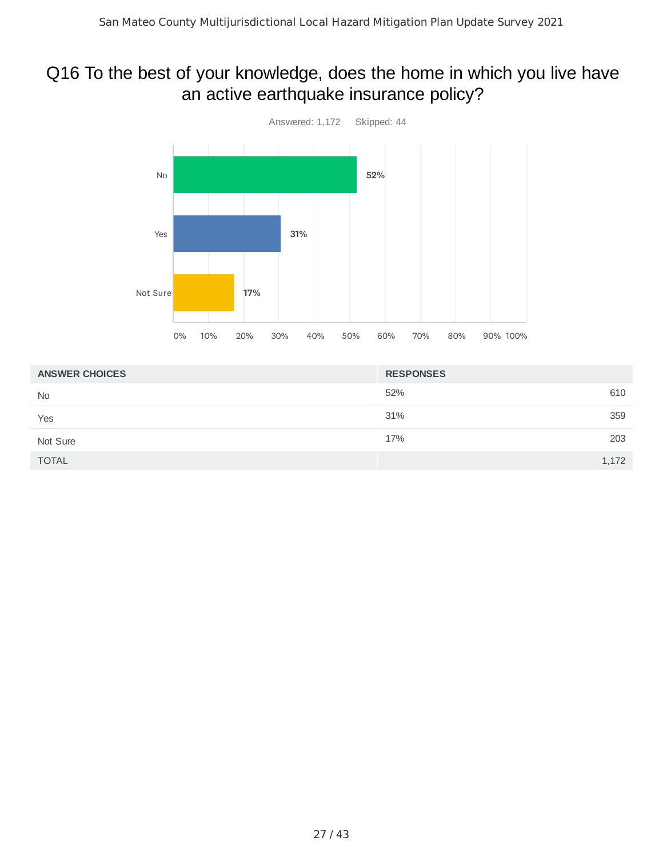## Q16 To the best of your knowledge, does the home in which you live have an active earthquake insurance policy?



| <b>ANSWER CHOICES</b> | <b>RESPONSES</b> |
|-----------------------|------------------|
| <b>No</b>             | 52%<br>610       |
| Yes                   | 31%<br>359       |
| Not Sure              | 203<br>17%       |
| <b>TOTAL</b>          | 1,172            |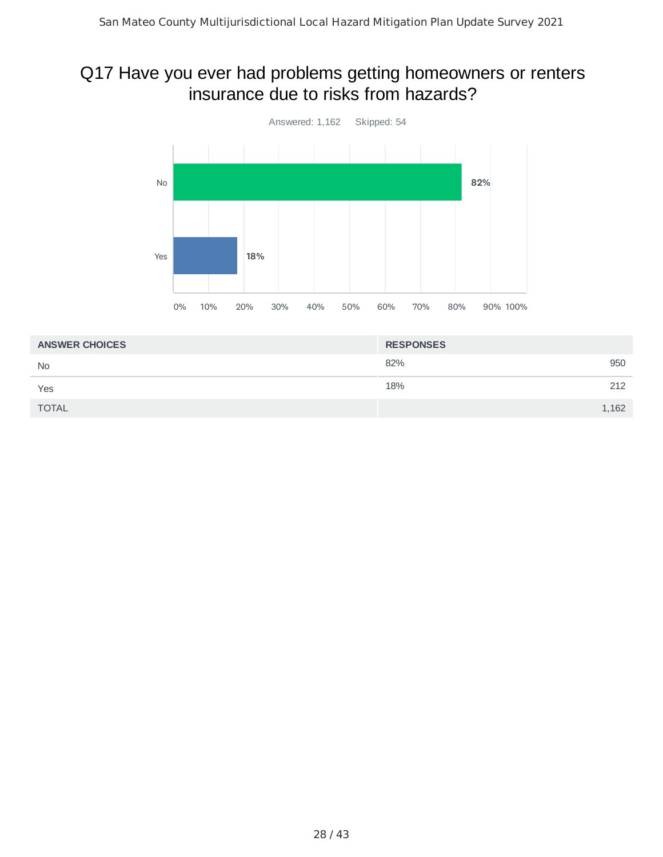#### Q17 Have you ever had problems getting homeowners or renters insurance due to risks from hazards?



| <b>ANSWER CHOICES</b> | <b>RESPONSES</b> |       |
|-----------------------|------------------|-------|
| <b>No</b>             | 82%              | 950   |
| Yes                   | 18%              | 212   |
| <b>TOTAL</b>          |                  | 1,162 |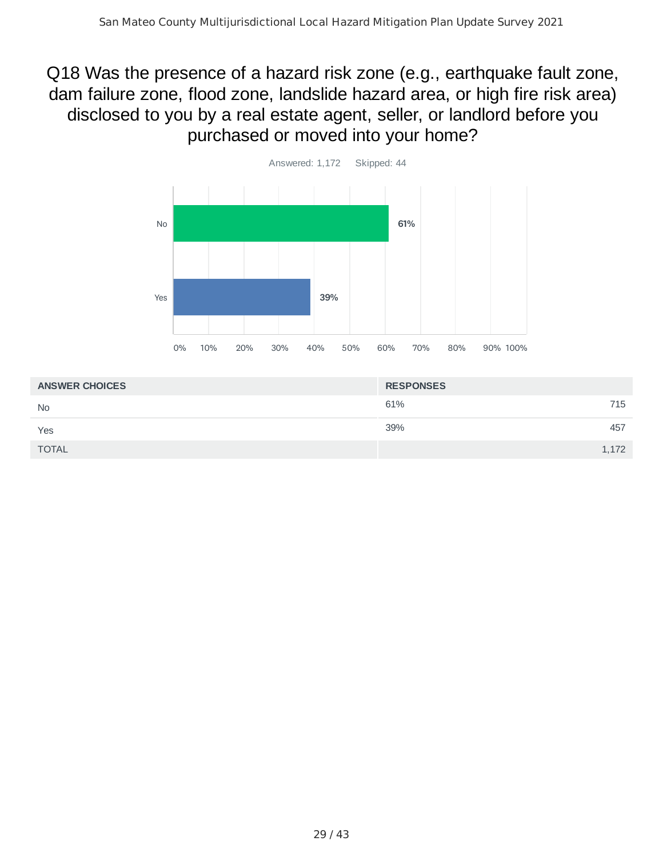## Q18 Was the presence of a hazard risk zone (e.g., earthquake fault zone, dam failure zone, flood zone, landslide hazard area, or high fire risk area) disclosed to you by a real estate agent, seller, or landlord before you purchased or moved into your home?



| <b>ANSWER CHOICES</b> | <b>RESPONSES</b> |
|-----------------------|------------------|
| <b>No</b>             | 61%<br>715       |
| Yes                   | 39%<br>457       |
| <b>TOTAL</b>          | 1,172            |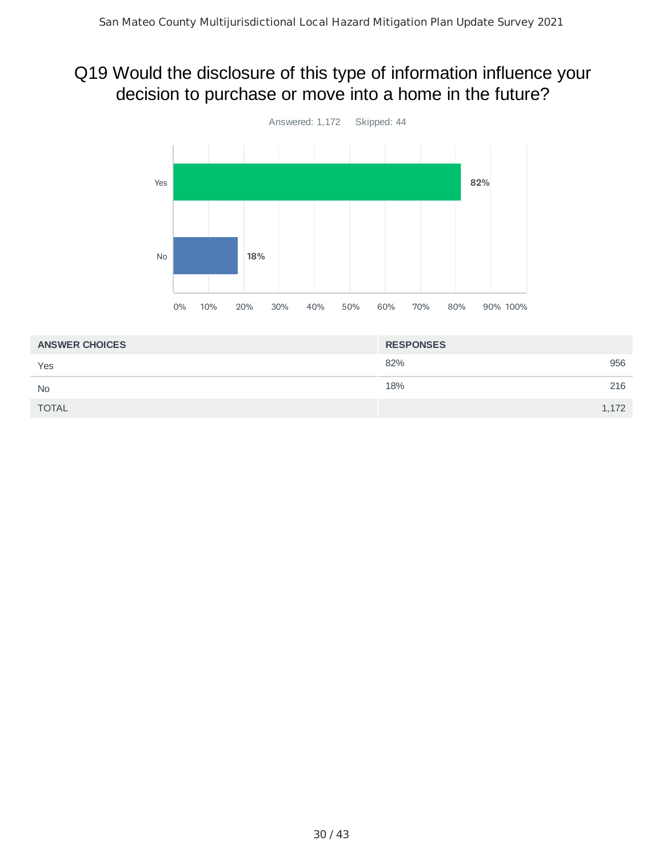## Q19 Would the disclosure of this type of information influence your decision to purchase or move into a home in the future?



| <b>ANSWER CHOICES</b> | <b>RESPONSES</b> |
|-----------------------|------------------|
| Yes                   | 82%<br>956       |
| <b>No</b>             | 18%<br>216       |
| <b>TOTAL</b>          | 1,172            |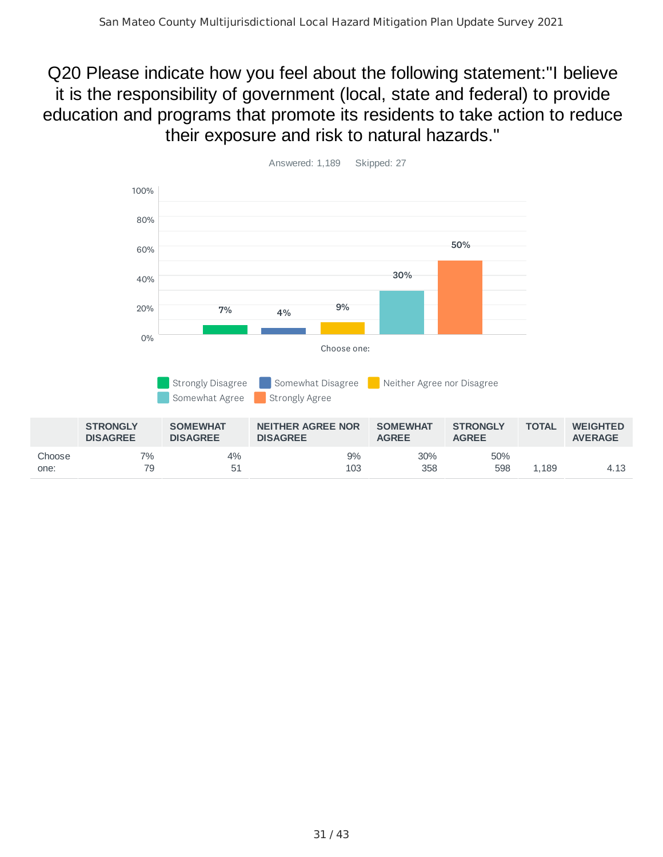#### Q20 Please indicate how you feel about the following statement:"I believe it is the responsibility of government (local, state and federal) to provide education and programs that promote its residents to take action to reduce their exposure and risk to natural hazards."

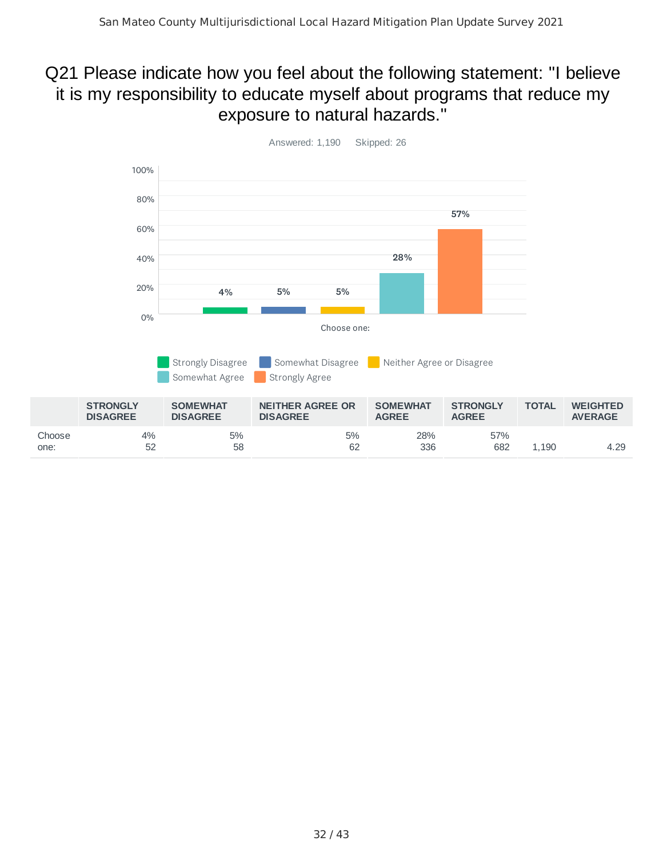## Q21 Please indicate how you feel about the following statement: "I believe it is my responsibility to educate myself about programs that reduce my exposure to natural hazards."

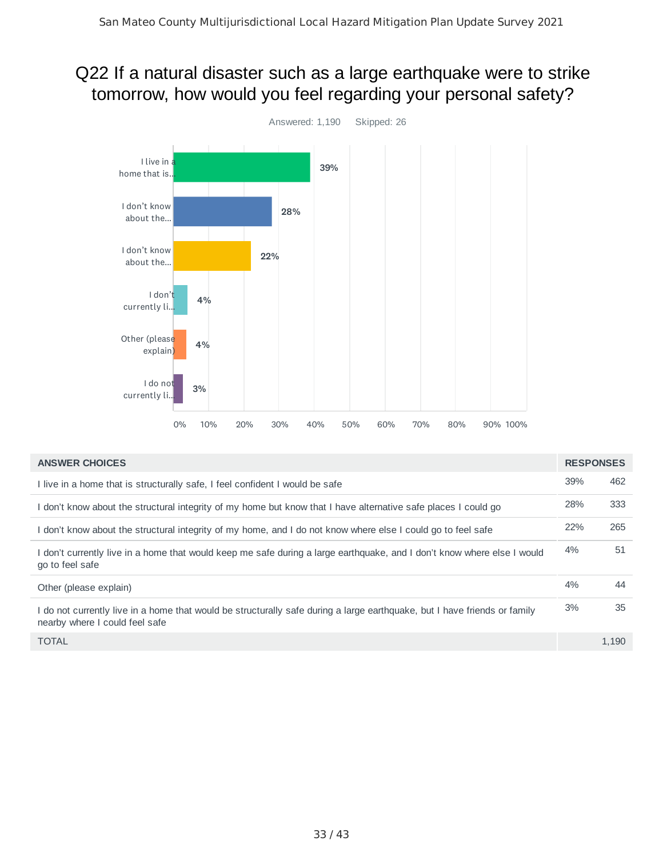## Q22 If a natural disaster such as a large earthquake were to strike tomorrow, how would you feel regarding your personal safety?



| <b>ANSWER CHOICES</b>                                                                                                                                       | <b>RESPONSES</b> |       |
|-------------------------------------------------------------------------------------------------------------------------------------------------------------|------------------|-------|
| I live in a home that is structurally safe, I feel confident I would be safe                                                                                | 39%              | 462   |
| I don't know about the structural integrity of my home but know that I have alternative safe places I could go                                              | 28%              | 333   |
| I don't know about the structural integrity of my home, and I do not know where else I could go to feel safe                                                | 22%              | 265   |
| I don't currently live in a home that would keep me safe during a large earthguake, and I don't know where else I would<br>go to feel safe                  | 4%               | 51    |
| Other (please explain)                                                                                                                                      | 4%               | 44    |
| I do not currently live in a home that would be structurally safe during a large earthquake, but I have friends or family<br>nearby where I could feel safe | 3%               | 35    |
| <b>TOTAL</b>                                                                                                                                                |                  | 1.190 |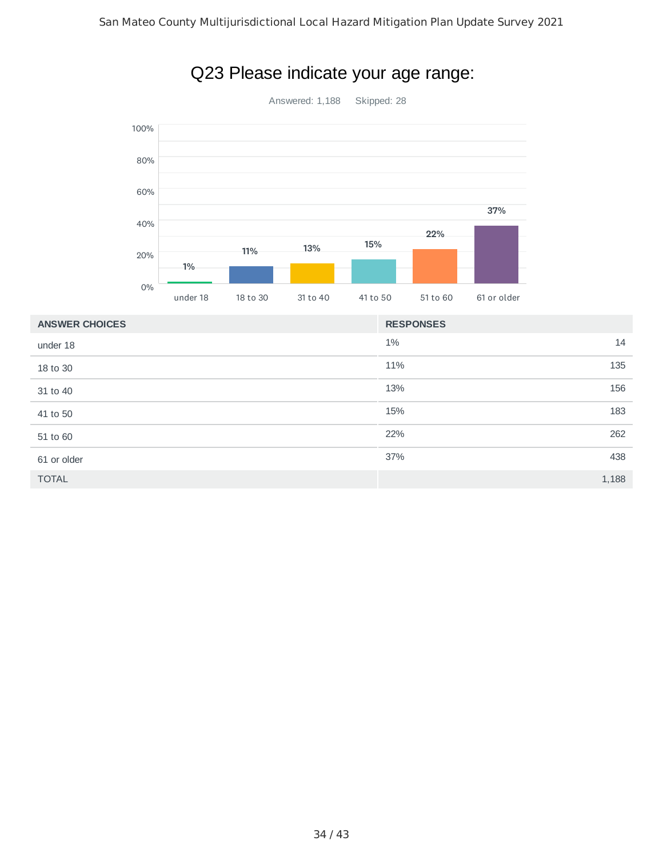

## Q23 Please indicate your age range:

| <b>ANSWER CHOICES</b> | <b>RESPONSES</b> |
|-----------------------|------------------|
| under 18              | $1\%$<br>14      |
| 18 to 30              | 11%<br>135       |
| 31 to 40              | 156<br>13%       |
| 41 to 50              | 183<br>15%       |
| 51 to 60              | 262<br>22%       |
| 61 or older           | 438<br>37%       |
| <b>TOTAL</b>          | 1,188            |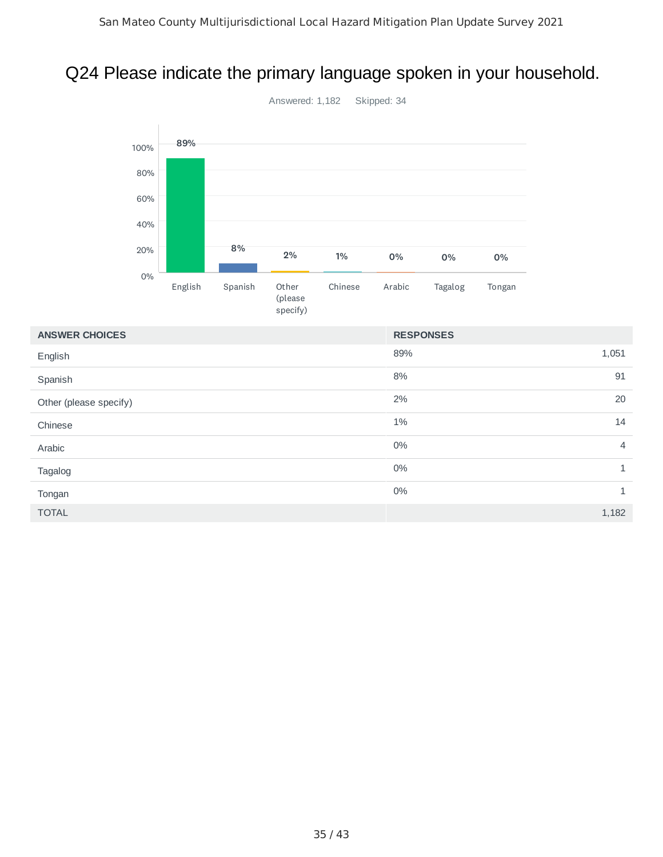## Q24 Please indicate the primary language spoken in your household.



89% 1,051 8% 91  $2\%$  20  $1\%$  14  $0\%$  4  $0\%$  1  $0\%$  1  $\blacksquare$  TOTAL  $\blacksquare$  1,182  $\blacksquare$ **ANSWER CHOICES RESPONSES** English Spanish Other (please specify) Chinese Arabic Tagalog Tongan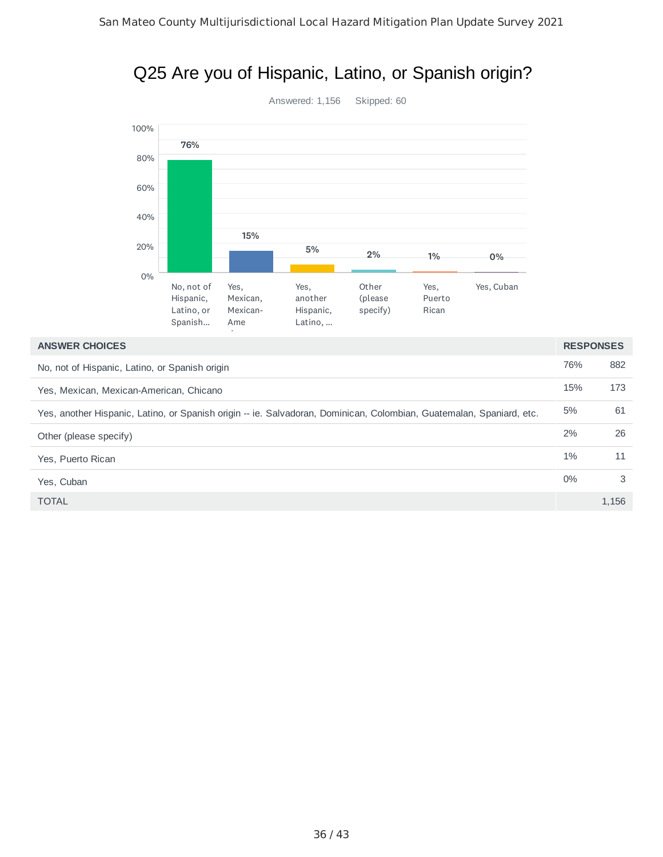#### Q25 Are you of Hispanic, Latino, or Spanish origin?



| <b>ANSWER CHOICES</b>                                                                                                | <b>RESPONSES</b> |       |
|----------------------------------------------------------------------------------------------------------------------|------------------|-------|
| No, not of Hispanic, Latino, or Spanish origin                                                                       | 76%              | 882   |
| Yes, Mexican, Mexican-American, Chicano                                                                              | 15%              | 173   |
| Yes, another Hispanic, Latino, or Spanish origin -- ie. Salvadoran, Dominican, Colombian, Guatemalan, Spaniard, etc. | 5%               | 61    |
| Other (please specify)                                                                                               | 2%               | 26    |
| Yes, Puerto Rican                                                                                                    | $1\%$            | 11    |
| Yes. Cuban                                                                                                           | $0\%$            | 3     |
| <b>TOTAL</b>                                                                                                         |                  | 1,156 |
|                                                                                                                      |                  |       |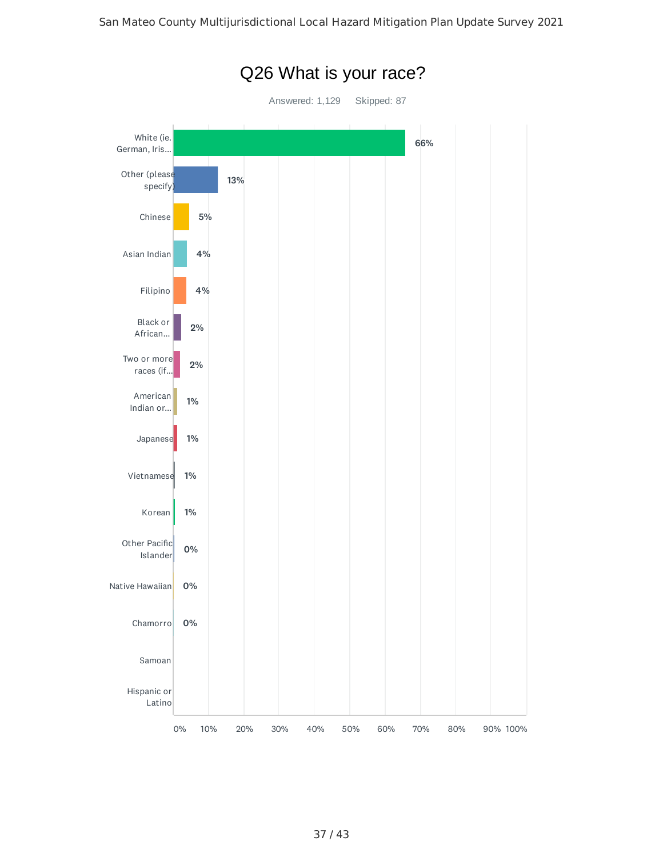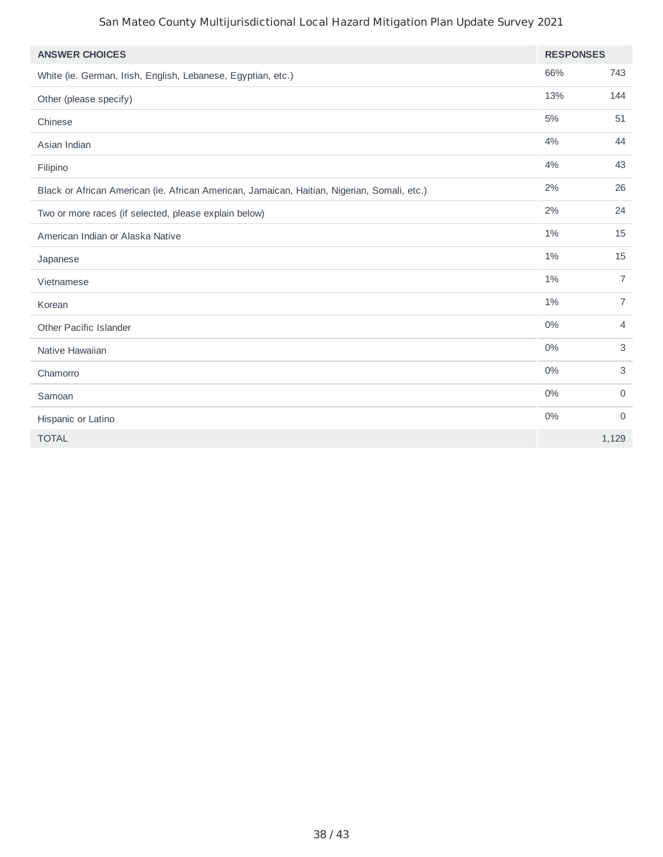| <b>ANSWER CHOICES</b>                                                                       | <b>RESPONSES</b> |                |
|---------------------------------------------------------------------------------------------|------------------|----------------|
| White (ie. German, Irish, English, Lebanese, Egyptian, etc.)                                | 66%              | 743            |
| Other (please specify)                                                                      | 13%              | 144            |
| Chinese                                                                                     | 5%               | 51             |
| Asian Indian                                                                                | 4%               | 44             |
| Filipino                                                                                    | 4%               | 43             |
| Black or African American (ie. African American, Jamaican, Haitian, Nigerian, Somali, etc.) | 2%               | 26             |
| Two or more races (if selected, please explain below)                                       | 2%               | 24             |
| American Indian or Alaska Native                                                            | 1%               | 15             |
| Japanese                                                                                    | 1%               | 15             |
| Vietnamese                                                                                  | 1%               | $\overline{7}$ |
| Korean                                                                                      | 1%               | $\overline{7}$ |
| Other Pacific Islander                                                                      | 0%               | 4              |
| Native Hawaiian                                                                             | 0%               | 3              |
| Chamorro                                                                                    | 0%               | 3              |
| Samoan                                                                                      | 0%               | $\mathbf 0$    |
| Hispanic or Latino                                                                          | $0\%$            | $\mathbf 0$    |
| <b>TOTAL</b>                                                                                |                  | 1,129          |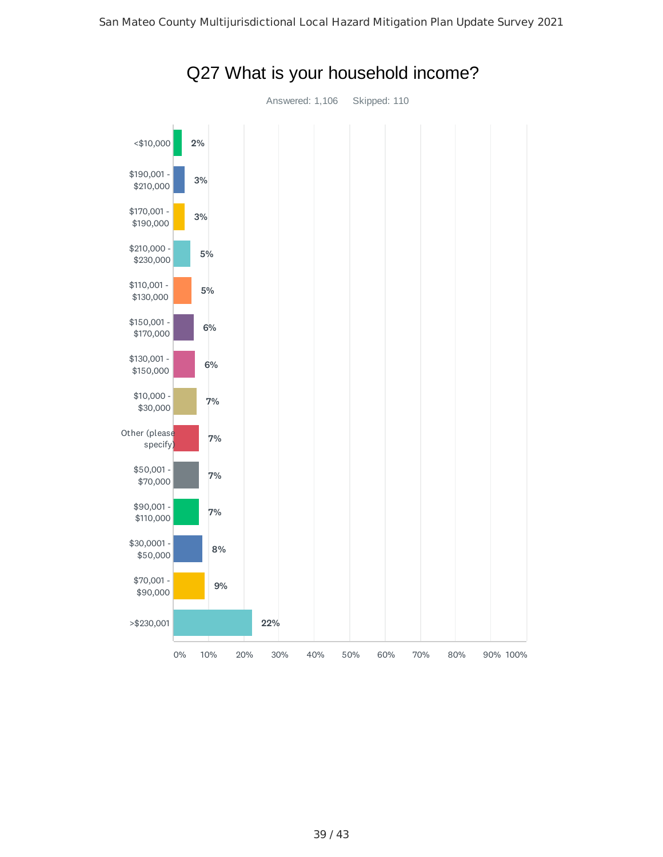

#### Q27 What is your household income?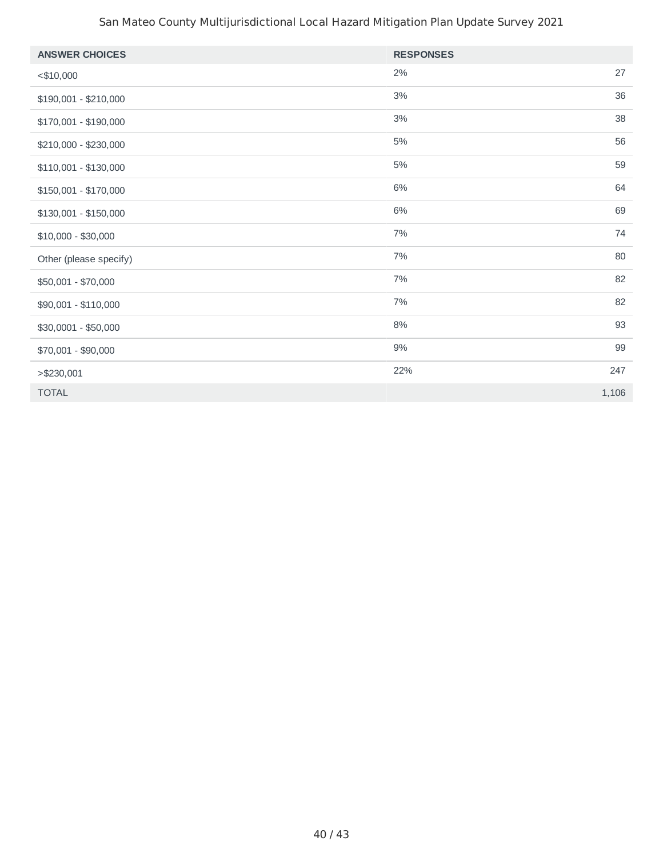| <b>ANSWER CHOICES</b>  | <b>RESPONSES</b> |       |
|------------------------|------------------|-------|
| $<$ \$10,000           | 2%               | 27    |
| $$190,001 - $210,000$  | $3\%$            | 36    |
| \$170,001 - \$190,000  | 3%               | 38    |
| \$210,000 - \$230,000  | 5%               | 56    |
| $$110,001 - $130,000$  | $5\%$            | 59    |
| \$150,001 - \$170,000  | 6%               | 64    |
| $$130,001 - $150,000$  | $6\%$            | 69    |
| $$10,000 - $30,000$    | $7\%$            | 74    |
| Other (please specify) | 7%               | 80    |
| \$50,001 - \$70,000    | $7\%$            | 82    |
| \$90,001 - \$110,000   | $7\%$            | 82    |
| \$30,0001 - \$50,000   | $8\%$            | 93    |
| \$70,001 - \$90,000    | $9\%$            | 99    |
| > \$230,001            | 22%              | 247   |
| <b>TOTAL</b>           |                  | 1,106 |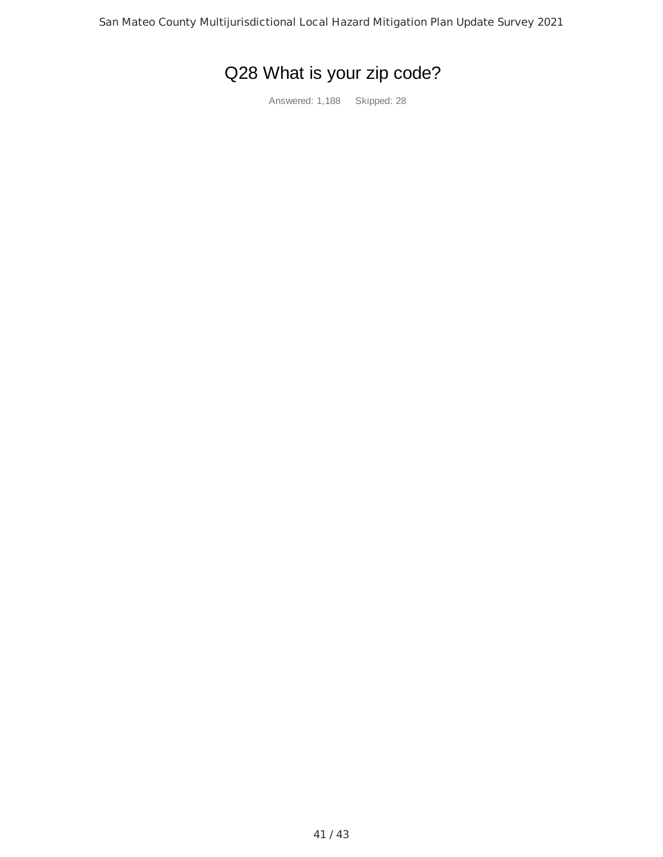# Q28 What is your zip code?

Answered: 1,188 Skipped: 28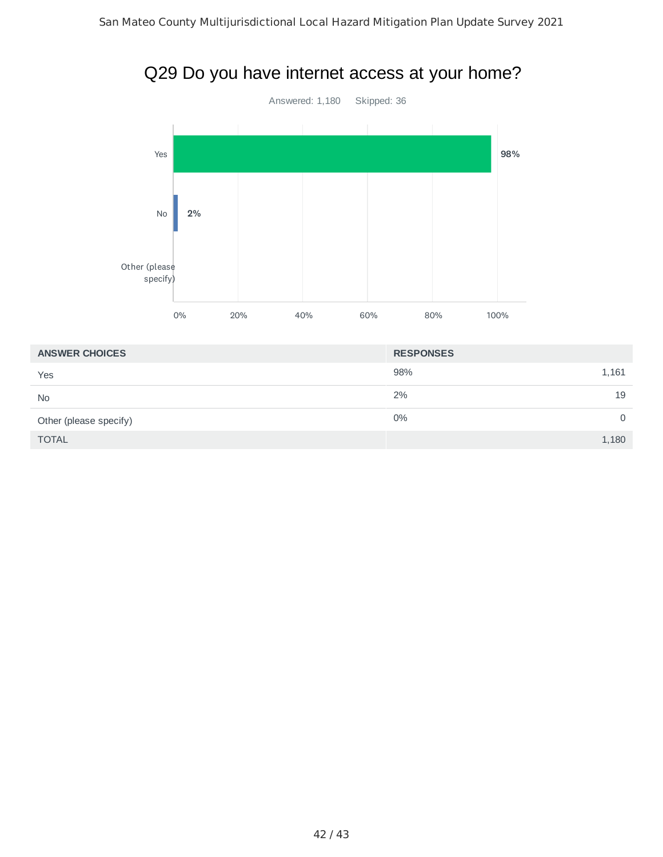

| <b>ANSWER CHOICES</b>  | <b>RESPONSES</b> |
|------------------------|------------------|
| Yes                    | 98%<br>1,161     |
| <b>No</b>              | 19<br>2%         |
| Other (please specify) | $0\%$<br>0       |
| <b>TOTAL</b>           | 1,180            |

## Q29 Do you have internet access at your home?